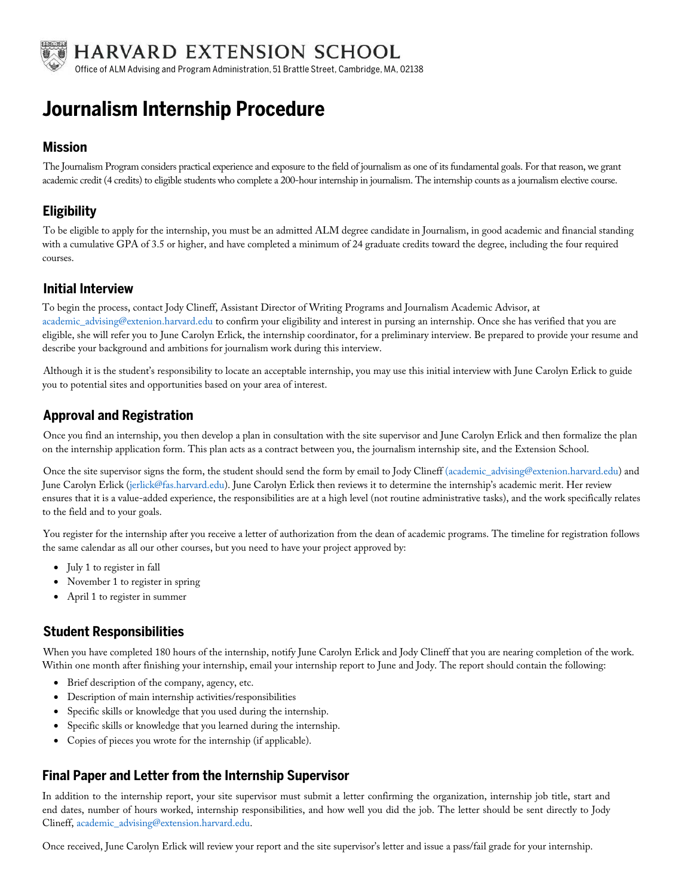

# **Journalism Internship Procedure**

### **Mission**

The Journalism Program considers practical experience and exposure to the field of journalism as one of its fundamental goals. For that reason, we grant academic credit (4 credits) to eligible students who complete a 200-hour internship in journalism. The internship counts as a journalism elective course.

## **Eligibility**

To be eligible to apply for the internship, you must be an admitted ALM degree candidate in Journalism, in good academic and financial standing with a cumulative GPA of 3.5 or higher, and have completed a minimum of 24 graduate credits toward the degree, including the four required courses.

#### **Initial Interview**

To begin the process, contact Jody Clineff, Assistant Director of Writing Programs and Journalism Academic Advisor, at [academic\\_advising@extenion.harvard.edu](mailto: academic_advising@extension.harvard.edu) to confirm your eligibility and interest in pursing an internship. Once she has verified that you are eligible, she will refer you to June Carolyn Erlick, the internship coordinator, for a preliminary interview. Be prepared to provide your resume and describe your background and ambitions for journalism work during this interview.

Although it is the student's responsibility to locate an acceptable internship, you may use this initial interview with June Carolyn Erlick to guide you to potential sites and opportunities based on your area of interest.

## **Approval and Registration**

Once you find an internship, you then develop a plan in consultation with the site supervisor and June Carolyn Erlick and then formalize the plan on the internship application form. This plan acts as a contract between you, the journalism internship site, and the Extension School.

Once the site supervisor signs the form, the student should send the form by email to Jody Clineff (academic\_advising@extenion.harvard.edu) and June Carolyn Erlick (jerlick@fas.harvard.edu). June Carolyn Erlick then reviews it to determine the internship's academic merit. Her review ensures that it is a value-added experience, the responsibilities are at a high level (not routine administrative tasks), and the work specifically relates to the field and to your goals.

You register for the internship after you receive a letter of authorization from the dean of academic programs. The timeline for registration follows the same calendar as all our other courses, but you need to have your project approved by:

- July 1 to register in fall
- November 1 to register in spring
- April 1 to register in summer

### **Student Responsibilities**

When you have completed 180 hours of the internship, notify June Carolyn Erlick and Jody Clineff that you are nearing completion of the work. Within one month after finishing your internship, email your internship report to June and Jody. The report should contain the following:

- Brief description of the company, agency, etc.
- Description of main internship activities/responsibilities
- Specific skills or knowledge that you used during the internship.
- Specific skills or knowledge that you learned during the internship.
- Copies of pieces you wrote for the internship (if applicable).

### **Final Paper and Letter from the Internship Supervisor**

In addition to the internship report, your site supervisor must submit a letter confirming the organization, internship job title, start and end dates, number of hours worked, internship responsibilities, and how well you did the job. The letter should be sent directly to Jody Clineff, [academic\\_advising@extension.harvard.edu.](mailto: academic_advising@extension.harvard.edu)

Once received, June Carolyn Erlick will review your report and the site supervisor's letter and issue a pass/fail grade for your internship.